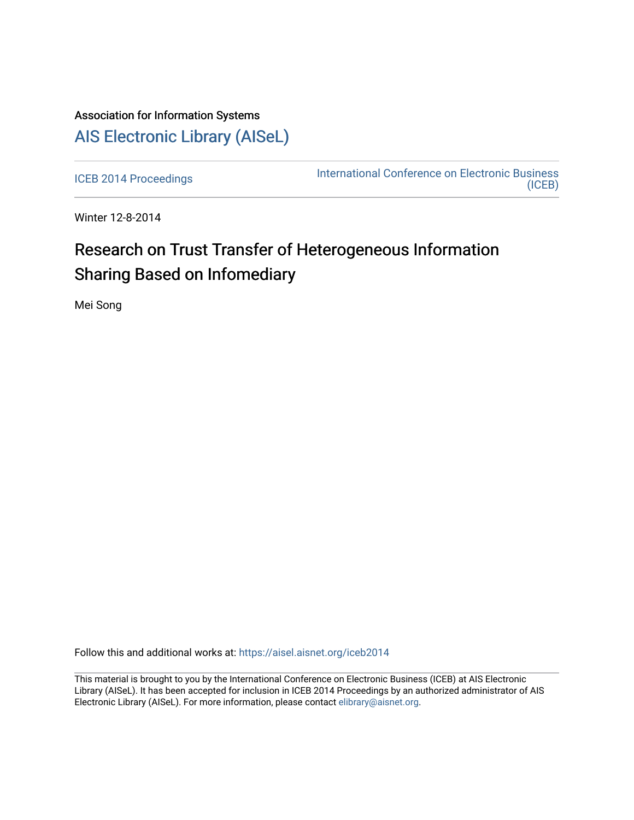## Association for Information Systems [AIS Electronic Library \(AISeL\)](https://aisel.aisnet.org/)

[ICEB 2014 Proceedings](https://aisel.aisnet.org/iceb2014) **International Conference on Electronic Business** [\(ICEB\)](https://aisel.aisnet.org/iceb) 

Winter 12-8-2014

# Research on Trust Transfer of Heterogeneous Information Sharing Based on Infomediary

Mei Song

Follow this and additional works at: [https://aisel.aisnet.org/iceb2014](https://aisel.aisnet.org/iceb2014?utm_source=aisel.aisnet.org%2Ficeb2014%2F23&utm_medium=PDF&utm_campaign=PDFCoverPages)

This material is brought to you by the International Conference on Electronic Business (ICEB) at AIS Electronic Library (AISeL). It has been accepted for inclusion in ICEB 2014 Proceedings by an authorized administrator of AIS Electronic Library (AISeL). For more information, please contact [elibrary@aisnet.org.](mailto:elibrary@aisnet.org%3E)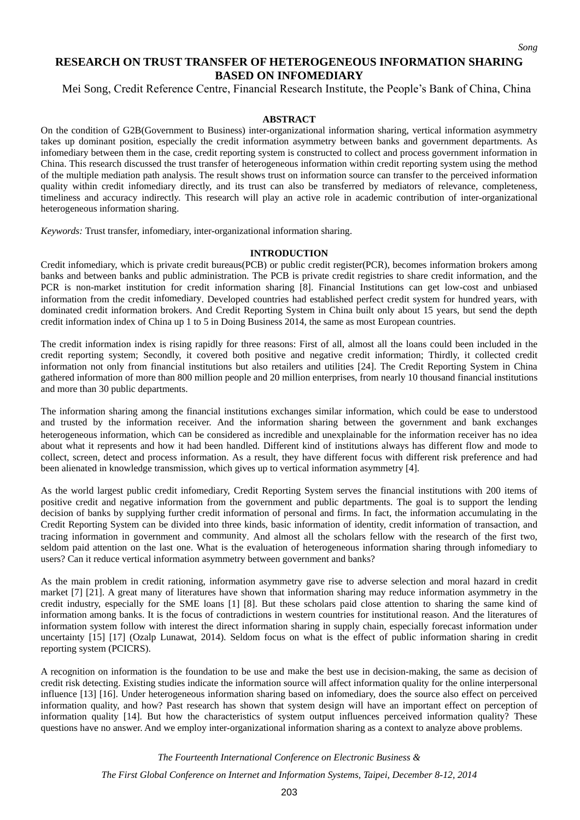### **RESEARCH ON TRUST TRANSFER OF HETEROGENEOUS INFORMATION SHARING BASED ON INFOMEDIARY**

Mei Song, Credit Reference Centre, Financial Research Institute, the People's Bank of China, China

#### **ABSTRACT**

On the condition of G2B(Government to Business) inter-organizational information sharing, vertical information asymmetry takes up dominant position, especially the credit information asymmetry between banks and government departments. As infomediary between them in the case, credit reporting system is constructed to collect and process government information in China. This research discussed the trust transfer of heterogeneous information within credit reporting system using the method of the multiple mediation path analysis. The result shows trust on information source can transfer to the perceived information quality within credit infomediary directly, and its trust can also be transferred by mediators of relevance, completeness, timeliness and accuracy indirectly. This research will play an active role in academic contribution of inter-organizational heterogeneous information sharing.

*Keywords:* Trust transfer, infomediary, inter-organizational information sharing.

#### **INTRODUCTION**

Credit infomediary, which is private credit bureaus(PCB) or public credit register(PCR), becomes information brokers among banks and between banks and public administration. The PCB is private credit registries to share credit information, and the PCR is non-market institution for credit information sharing [8]. Financial Institutions can get low-cost and unbiased information from the credit infomediary. Developed countries had established perfect credit system for hundred years, with dominated credit information brokers. And Credit Reporting System in China built only about 15 years, but send the depth credit information index of China up 1 to 5 in Doing Business 2014, the same as most European countries.

The credit information index is rising rapidly for three reasons: First of all, almost all the loans could been included in the credit reporting system; Secondly, it covered both positive and negative credit information; Thirdly, it collected credit information not only from financial institutions but also retailers and utilities [24]. The Credit Reporting System in China gathered information of more than 800 million people and 20 million enterprises, from nearly 10 thousand financial institutions and more than 30 public departments.

The information sharing among the financial institutions exchanges similar information, which could be ease to understood and trusted by the information receiver. And the information sharing between the government and bank exchanges heterogeneous information, which can be considered as incredible and unexplainable for the information receiver has no idea about what it represents and how it had been handled. Different kind of institutions always has different flow and mode to collect, screen, detect and process information. As a result, they have different focus with different risk preference and had been alienated in knowledge transmission, which gives up to vertical information asymmetry [4].

As the world largest public credit infomediary, Credit Reporting System serves the financial institutions with 200 items of positive credit and negative information from the government and public departments. The goal is to support the lending decision of banks by supplying further credit information of personal and firms. In fact, the information accumulating in the Credit Reporting System can be divided into three kinds, basic information of identity, credit information of transaction, and tracing information in government and community. And almost all the scholars fellow with the research of the first two, seldom paid attention on the last one. What is the evaluation of heterogeneous information sharing through infomediary to users? Can it reduce vertical information asymmetry between government and banks?

As the main problem in credit rationing, information asymmetry gave rise to adverse selection and moral hazard in credit market [7] [21]. A great many of literatures have shown that information sharing may reduce information asymmetry in the credit industry, especially for the SME loans [1] [8]. But these scholars paid close attention to sharing the same kind of information among banks. It is the focus of contradictions in western countries for institutional reason. And the literatures of information system follow with interest the direct information sharing in supply chain, especially forecast information under uncertainty [15] [17] (Ozalp Lunawat, 2014). Seldom focus on what is the effect of public information sharing in credit reporting system (PCICRS).

A recognition on information is the foundation to be use and make the best use in decision-making, the same as decision of credit risk detecting. Existing studies indicate the information source will affect information quality for the online interpersonal influence [13] [16]. Under heterogeneous information sharing based on infomediary, does the source also effect on perceived information quality, and how? Past research has shown that system design will have an important effect on perception of information quality [14]. But how the characteristics of system output influences perceived information quality? These questions have no answer. And we employ inter-organizational information sharing as a context to analyze above problems.

*The Fourteenth International Conference on Electronic Business &*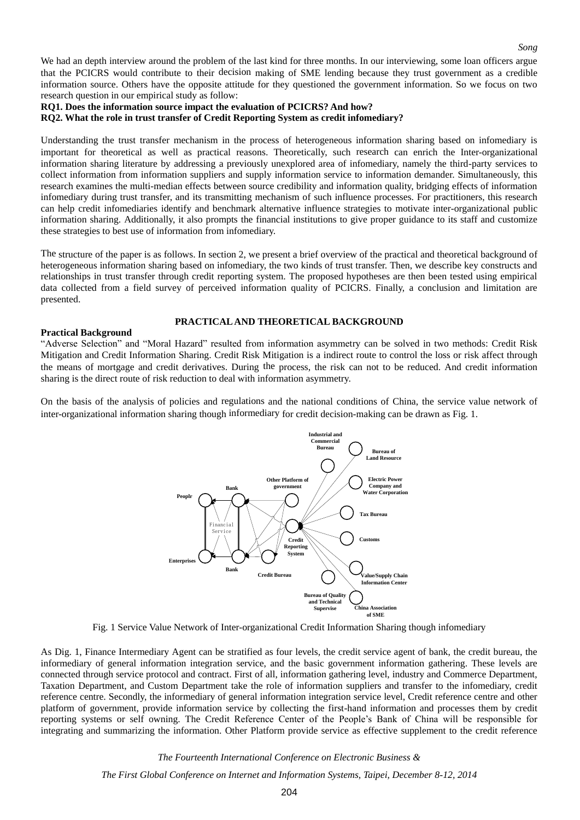We had an depth interview around the problem of the last kind for three months. In our interviewing, some loan officers argue that the PCICRS would contribute to their decision making of SME lending because they trust government as a credible information source. Others have the opposite attitude for they questioned the government information. So we focus on two research question in our empirical study as follow:

*Song*

#### **RQ1. Does the information source impact the evaluation of PCICRS? And how?**

**RQ2. What the role in trust transfer of Credit Reporting System as credit infomediary?**

Understanding the trust transfer mechanism in the process of heterogeneous information sharing based on infomediary is important for theoretical as well as practical reasons. Theoretically, such research can enrich the Inter-organizational information sharing literature by addressing a previously unexplored area of infomediary, namely the third-party services to collect information from information suppliers and supply information service to information demander. Simultaneously, this research examines the multi-median effects between source credibility and information quality, bridging effects of information infomediary during trust transfer, and its transmitting mechanism of such influence processes. For practitioners, this research can help credit infomediaries identify and benchmark alternative influence strategies to motivate inter-organizational public information sharing. Additionally, it also prompts the financial institutions to give proper guidance to its staff and customize these strategies to best use of information from infomediary.

The structure of the paper is as follows. In section 2, we present a brief overview of the practical and theoretical background of heterogeneous information sharing based on infomediary, the two kinds of trust transfer. Then, we describe key constructs and relationships in trust transfer through credit reporting system. The proposed hypotheses are then been tested using empirical data collected from a field survey of perceived information quality of PCICRS. Finally, a conclusion and limitation are presented.

#### **PRACTICAL AND THEORETICAL BACKGROUND**

#### **Practical Background**

"Adverse Selection" and "Moral Hazard" resulted from information asymmetry can be solved in two methods: Credit Risk Mitigation and Credit Information Sharing. Credit Risk Mitigation is a indirect route to control the loss or risk affect through the means of mortgage and credit derivatives. During the process, the risk can not to be reduced. And credit information sharing is the direct route of risk reduction to deal with information asymmetry.

On the basis of the analysis of policies and regulations and the national conditions of China, the service value network of inter-organizational information sharing though informediary for credit decision-making can be drawn as Fig. 1.



Fig. 1 Service Value Network of Inter-organizational Credit Information Sharing though infomediary

As Dig. 1, Finance Intermediary Agent can be stratified as four levels, the credit service agent of bank, the credit bureau, the informediary of general information integration service, and the basic government information gathering. These levels are connected through service protocol and contract. First of all, information gathering level, industry and Commerce Department, Taxation Department, and Custom Department take the role of information suppliers and transfer to the infomediary, credit reference centre. Secondly, the informediary of general information integration service level, Credit reference centre and other platform of government, provide information service by collecting the first-hand information and processes them by credit reporting systems or self owning. The Credit Reference Center of the People's Bank of China will be responsible for integrating and summarizing the information. Other Platform provide service as effective supplement to the credit reference

*The Fourteenth International Conference on Electronic Business &*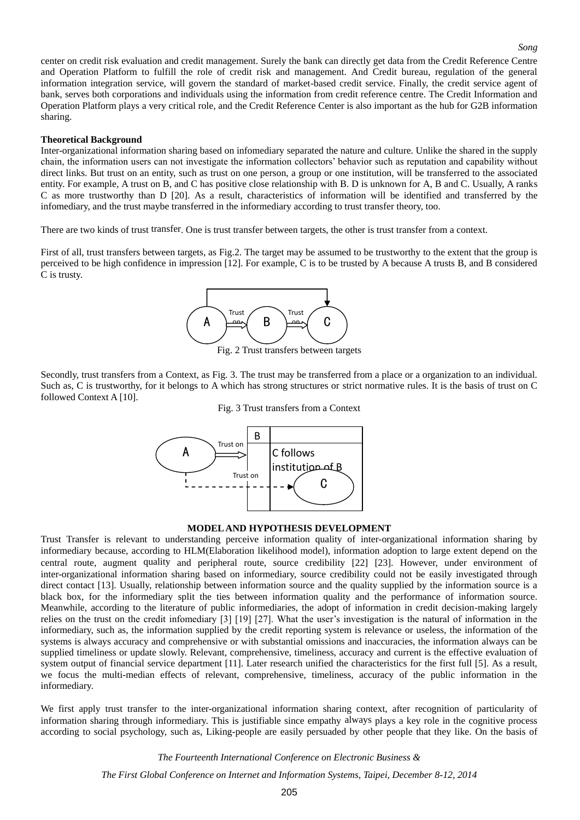center on credit risk evaluation and credit management. Surely the bank can directly get data from the Credit Reference Centre and Operation Platform to fulfill the role of credit risk and management. And Credit bureau, regulation of the general information integration service, will govern the standard of market-based credit service. Finally, the credit service agent of bank, serves both corporations and individuals using the information from credit reference centre. The Credit Information and Operation Platform plays a very critical role, and the Credit Reference Center is also important as the hub for G2B information sharing.

#### **Theoretical Background**

Inter-organizational information sharing based on infomediary [separate](http://www.jukuu.com/show-separate-0.html)d the nature and culture. Unlike the shared in the supply chain, the information users can not investigate the information collectors' behavior such as reputation and capability without direct links. But trust on an entity, such as trust on one person, a group or one institution, will be transferred to the associated entity. For example, A trust on B, and C has positive close relationship with B. D is unknown for A, B and C. Usually, A ranks C as more trustworthy than D [20]. As a result, characteristics of information will be identified and transferred by the infomediary, and the trust maybe transferred in the informediary according to trust transfer theory, too.

There are two kinds of trust transfer. One is trust transfer between targets, the other is trust transfer from a context.

First of all, trust transfers between targets, as Fig.2. The target may be assumed to be trustworthy to the extent that the group is perceived to be high confidence in impression [12]. For example, C is to be trusted by A because A trusts B, and B considered C is trusty.



Fig. 2 Trust transfers between targets

Secondly, trust transfers from a Context, as Fig. 3. The trust may be transferred from a place or a organization to an individual. Such as, C is trustworthy, for it belongs to A which has strong structures or strict normative rules. It is the basis of trust on C followed Context A [10].

#### Fig. 3 Trust transfers from a Context



#### **MODEL AND HYPOTHESIS DEVELOPMENT**

Trust Transfer is relevant to understanding perceive information quality of inter-organizational information sharing by informediary because, according to HLM(Elaboration likelihood model), information adoption to large extent depend on the central route, augment quality and peripheral route, source credibility [22] [23]. However, under environment of inter-organizational information sharing based on informediary, source credibility could not be easily investigated through direct contact [13]. Usually, relationship between information source and the quality supplied by the information source is a black box, for the informediary split the ties between information quality and the performance of information source. Meanwhile, according to the literature of public informediaries, the adopt of information in credit decision-making largely relies on the trust on the credit infomediary [3] [19] [27]. What the user's investigation is the natural of information in the informediary, such as, the information supplied by the credit reporting system is relevance or useless, the information of the systems is always accuracy and comprehensive or with substantial omissions and inaccuracies, the information always can be supplied timeliness or update slowly. Relevant, comprehensive, timeliness, accuracy and current is the effective evaluation of system output of financial service department [11]. Later research unified the characteristics for the first full [5]. As a result, we focus the multi-median effects of relevant, comprehensive, timeliness, accuracy of the public information in the informediary.

We first apply trust transfer to the inter-organizational information sharing context, after recognition of particularity of information sharing through informediary. This is justifiable since empathy always plays a key role in the cognitive process according to social psychology, such as, Liking-people are easily persuaded by other people that they like. On the basis of

*The Fourteenth International Conference on Electronic Business &*

*The First Global Conference on Internet and Information Systems, Taipei, December 8-12, 2014*

#### *Song*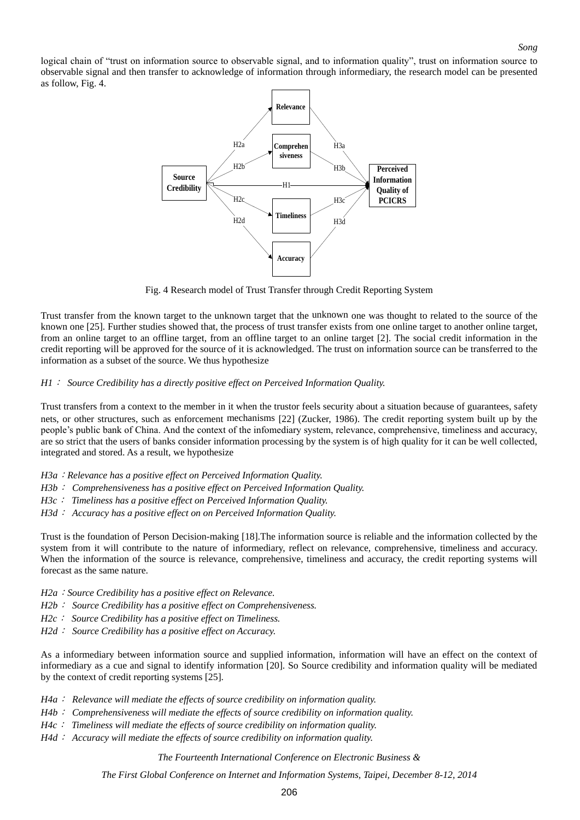logical chain of "trust on information source to observable signal, and to information quality", trust on information source to observable signal and then transfer to acknowledge of information through informediary, the research model can be presented as follow, Fig. 4.



Fig. 4 Research model of Trust Transfer through Credit Reporting System

Trust transfer from the known target to the unknown target that the unknown one was thought to related to the source of the known one [25]. Further studies showed that, the process of trust transfer exists from one online target to another online target, from an online target to an offline target, from an offline target to an online target [2]. The social credit information in the credit reporting will be approved for the source of it is acknowledged. The trust on information source can be transferred to the information as a subset of the source. We thus hypothesize

#### *H1*: *Source Credibility has a directly positive effect on Perceived Information Quality.*

Trust transfers from a context to the member in it when the trustor feels security about a situation because of guarantees, safety nets, or other structures, such as enforcement mechanisms [22] (Zucker, 1986). The credit reporting system built up by the people's public bank of China. And the context of the infomediary system, relevance, comprehensive, timeliness and accuracy, are so strict that the users of banks consider information processing by the system is of high quality for it can be well collected, integrated and stored. As a result, we hypothesize

- *H3a*:*Relevance has a positive effect on Perceived Information Quality.*
- *H3b*: *Comprehensiveness has a positive effect on Perceived Information Quality.*
- *H3c*: *Timeliness has a positive effect on Perceived Information Quality.*
- *H3d*: *Accuracy has a positive effect on on Perceived Information Quality.*

Trust is the foundation of Person Decision-making [18].The information source is reliable and the information collected by the system from it will contribute to the nature of informediary, reflect on relevance, comprehensive, timeliness and accuracy. When the information of the source is relevance, comprehensive, timeliness and accuracy, the credit reporting systems will forecast as the same nature.

- *H2a*:*Source Credibility has a positive effect on Relevance.*
- *H2b*: *Source Credibility has a positive effect on Comprehensiveness.*
- *H2c*: *Source Credibility has a positive effect on Timeliness.*
- *H2d*: *Source Credibility has a positive effect on Accuracy.*

As a informediary between information source and supplied information, information will have an effect on the context of informediary as a cue and signal to identify information [20]. So Source credibility and information quality will be mediated by the context of credit reporting systems [25].

- *H4a*: *Relevance will mediate the effects of source credibility on information quality.*
- *H4b*: *Comprehensiveness will mediate the effects of source credibility on information quality.*
- *H4c*: *Timeliness will mediate the effects of source credibility on information quality.*
- *H4d*: *Accuracy will mediate the effects of source credibility on information quality.*

*The Fourteenth International Conference on Electronic Business &*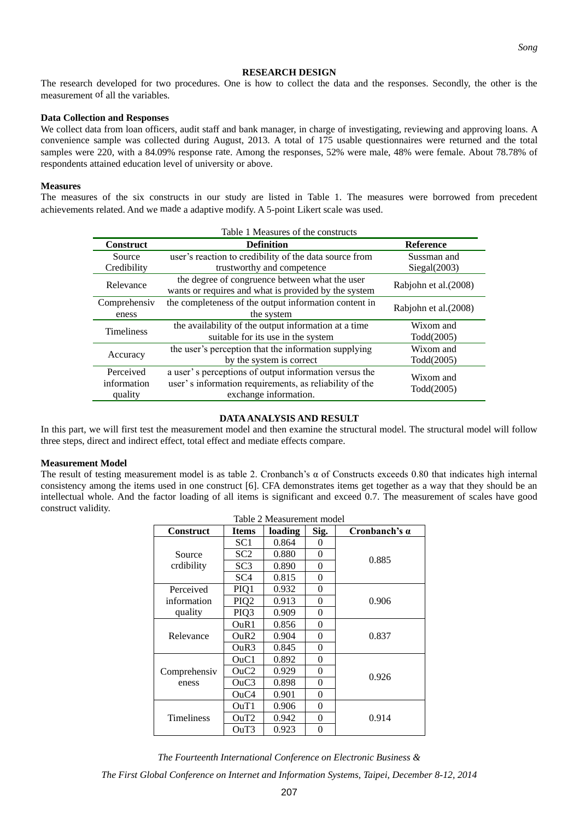#### **RESEARCH DESIGN**

The research developed for two procedures. One is how to collect the data and the responses. Secondly, the other is the measurement of all the variables.

#### **Data Collection and Responses**

We collect data from loan officers, audit staff and bank manager, in charge of investigating, reviewing and approving loans. A convenience sample was collected during August, 2013. A total of 175 usable questionnaires were returned and the total samples were 220, with a 84.09% response rate. Among the responses, 52% were male, 48% were female. About 78.78% of respondents attained education level of university or above.

#### **Measures**

The measures of the six constructs in our study are listed in Table 1. The measures were borrowed from precedent achievements related. And we made a adaptive modify. A 5-point Likert scale was used.

|                                     | Table 1 Measures of the constructs                                                                                                       |                         |
|-------------------------------------|------------------------------------------------------------------------------------------------------------------------------------------|-------------------------|
| <b>Construct</b>                    | <b>Definition</b>                                                                                                                        | <b>Reference</b>        |
| Source                              | user's reaction to credibility of the data source from                                                                                   | Sussman and             |
| Credibility                         | trustworthy and competence                                                                                                               | Siegal(2003)            |
| Relevance                           | the degree of congruence between what the user<br>wants or requires and what is provided by the system                                   | Rabjohn et al.(2008)    |
| Comprehensiv<br>eness               | the completeness of the output information content in<br>the system                                                                      | Rabjohn et al. (2008)   |
| <b>Timeliness</b>                   | the availability of the output information at a time<br>suitable for its use in the system                                               | Wixom and<br>Todd(2005) |
| Accuracy                            | the user's perception that the information supplying<br>by the system is correct                                                         | Wixom and<br>Todd(2005) |
| Perceived<br>information<br>quality | a user's perceptions of output information versus the<br>user's information requirements, as reliability of the<br>exchange information. | Wixom and<br>Todd(2005) |

#### **DATA ANALYSIS AND RESULT**

In this part, we will first test the measurement model and then examine the structural model. The structural model will follow three steps, direct and indirect effect, total effect and mediate effects compare.

#### **Measurement Model**

The result of testing measurement model is as table 2. Cronbanch's  $\alpha$  of Constructs exceeds 0.80 that indicates high internal consistency among the items used in one construct [6]. CFA demonstrates items get together as a way that they should be an intellectual whole. And the factor loading of all items is significant and exceed 0.7. The measurement of scales have good construct validity. Table 2 Measurement model

| <b>Construct</b>  | <b>Items</b>                  | loading | Sig.     | Cronbanch's $\alpha$ |
|-------------------|-------------------------------|---------|----------|----------------------|
|                   | SC1                           | 0.864   | $\theta$ |                      |
| Source            | SC2                           | 0.880   | 0        | 0.885                |
| crdibility        | SC <sub>3</sub>               | 0.890   | 0        |                      |
|                   | SC <sub>4</sub>               | 0.815   | 0        |                      |
| Perceived         | PIQ1                          | 0.932   | $\theta$ |                      |
| information       | PIQ <sub>2</sub>              | 0.913   | 0        | 0.906                |
| quality           | PIQ3                          | 0.909   | 0        |                      |
|                   | OuR1                          | 0.856   | 0        |                      |
| Relevance         | OuR2                          | 0.904   | 0        | 0.837                |
|                   | OuR3                          | 0.845   | $\theta$ |                      |
|                   | $O$ u $Cl$                    | 0.892   | $\theta$ |                      |
| Comprehensiv      | O <sub>u</sub> C <sub>2</sub> | 0.929   | 0        | 0.926                |
| eness             | O <sub>u</sub> C <sub>3</sub> | 0.898   | 0        |                      |
|                   | OuC4                          | 0.901   | 0        |                      |
|                   | OuT1                          | 0.906   | 0        |                      |
| <b>Timeliness</b> | OuT2                          | 0.942   | 0        | 0.914                |
|                   | OuT3                          | 0.923   | 0        |                      |

*The Fourteenth International Conference on Electronic Business &*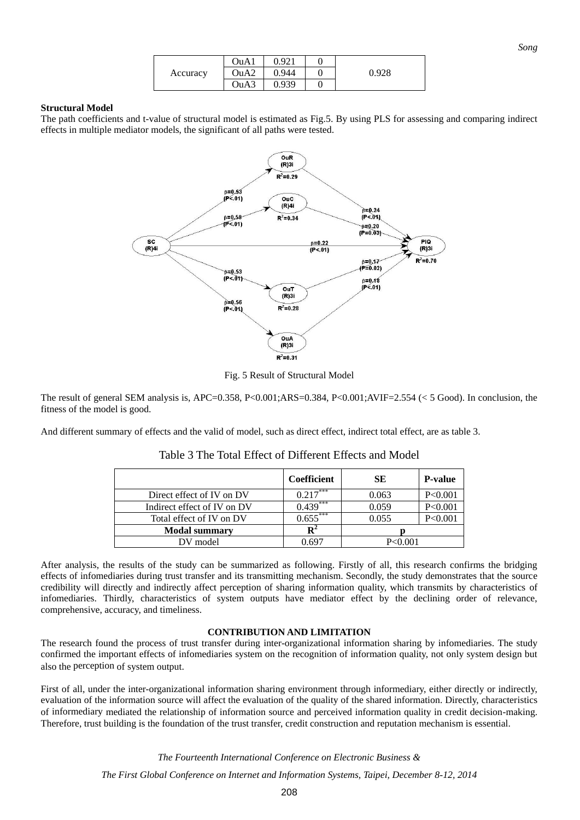|          | OuA1                          | 0.921 |       |
|----------|-------------------------------|-------|-------|
| Accuracy | O <sub>u</sub> A <sub>2</sub> | 0.944 | 0.928 |
|          | O <sub>u</sub> A <sub>3</sub> | 0.939 |       |

#### **Structural Model**

The path coefficients and t-value of structural model is estimated as Fig.5. By using PLS for assessing and comparing indirect effects in multiple mediator models, the significant of all paths were tested.



Fig. 5 Result of Structural Model

The result of general SEM analysis is, APC=0.358, P<0.001;ARS=0.384, P<0.001;AVIF=2.554 (< 5 Good). In conclusion, the fitness of the model is good.

And different summary of effects and the valid of model, such as direct effect, indirect total effect, are as table 3.

|                             | <b>Coefficient</b> | SE        | <b>P-value</b> |
|-----------------------------|--------------------|-----------|----------------|
| Direct effect of IV on DV   | ***<br>0.217       | 0.063     | P < 0.001      |
| Indirect effect of IV on DV | $0.439***$         | 0.059     | P < 0.001      |
| Total effect of IV on DV    | $0.655***$         | 0.055     | P < 0.001      |
| <b>Modal summary</b>        | $\mathbf{R}^2$     |           |                |
| DV model                    | 0.697              | P < 0.001 |                |

| Table 3 The Total Effect of Different Effects and Model |
|---------------------------------------------------------|
|---------------------------------------------------------|

After analysis, the results of the study can be summarized as following. Firstly of all, this research confirms the bridging effects of infomediaries during trust transfer and its transmitting mechanism. Secondly, the study demonstrates that the source credibility will directly and indirectly affect perception of sharing information quality, which transmits by characteristics of infomediaries. Thirdly, characteristics of system outputs have mediator effect by the declining order of relevance, comprehensive, accuracy, and timeliness.

#### **CONTRIBUTION AND LIMITATION**

The research found the process of trust transfer during inter-organizational information sharing by infomediaries. The study confirmed the important effects of infomediaries system on the recognition of information quality, not only system design but also the perception of system output.

First of all, under the inter-organizational information sharing environment through informediary, either directly or indirectly, evaluation of the information source will affect the evaluation of the quality of the shared information. Directly, characteristics of informediary mediated the relationship of information source and perceived information quality in credit decision-making. Therefore, trust building is the foundation of the trust transfer, credit construction and reputation mechanism is essential.

> *The Fourteenth International Conference on Electronic Business & The First Global Conference on Internet and Information Systems, Taipei, December 8-12, 2014*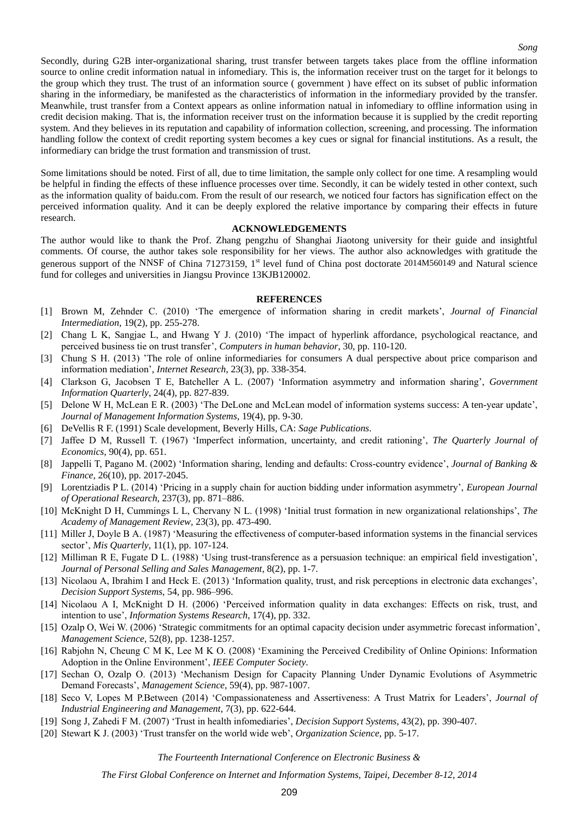Secondly, during G2B inter-organizational sharing, trust transfer between targets takes place from the offline information source to online credit information natual in infomediary. This is, the information receiver trust on the target for it belongs to the group which they trust. The trust of an information source ( government ) have effect on its subset of public information sharing in the informediary, be manifested as the characteristics of information in the informediary provided by the transfer. Meanwhile, trust transfer from a Context appears as online information natual in infomediary to offline information using in credit decision making. That is, the information receiver trust on the information because it is supplied by the credit reporting system. And they believes in its reputation and capability of information collection, screening, and processing. The information handling follow the context of credit reporting system becomes a key cues or signal for financial institutions. As a result, the informediary can bridge the trust formation and transmission of trust.

Some limitations should be noted. First of all, due to time limitation, the sample only collect for one time. A resampling would be helpful in finding the effects of these influence processes over time. Secondly, it can be widely tested in other context, such as the information quality of baidu.com. From the result of our research, we noticed four factors has signification effect on the perceived information quality. And it can be deeply explored the relative importance by comparing their effects in future research.

#### **ACKNOWLEDGEMENTS**

The author would like to thank the Prof. Zhang pengzhu of Shanghai Jiaotong university for their guide and insightful comments. Of course, the author takes sole responsibility for her views. The author also acknowledges with gratitude the generous support of the NNSF of China 71273159, 1<sup>st</sup> level fund of China post doctorate 2014M560149 and Natural science fund for colleges and universities in Jiangsu Province 13KJB120002.

#### **REFERENCES**

- [1] Brown M, Zehnder C. (2010) 'The emergence of information sharing in credit markets', *Journal of Financial Intermediation*, 19(2), pp. 255-278.
- [2] Chang L K, Sangjae L, and Hwang Y J. (2010) ['The impact of hyperlink affordance, psychological reactance, and](http://apps.webofknowledge.com/full_record.do?product=WOS&search_mode=GeneralSearch&qid=5&SID=4FYQzAk9inb4KXmdplG&page=1&doc=3)  [perceived business tie on trust transfer',](http://apps.webofknowledge.com/full_record.do?product=WOS&search_mode=GeneralSearch&qid=5&SID=4FYQzAk9inb4KXmdplG&page=1&doc=3) *Computers in human behavior*, 30, pp. 110-120.
- [3] Chung S H. (2013) ['The role of online informediaries for consumers A dual perspective about price comparison and](http://apps.webofknowledge.com/full_record.do?product=WOS&search_mode=GeneralSearch&qid=1&SID=4FYQzAk9inb4KXmdplG&page=1&doc=1)  [information mediation',](http://apps.webofknowledge.com/full_record.do?product=WOS&search_mode=GeneralSearch&qid=1&SID=4FYQzAk9inb4KXmdplG&page=1&doc=1) *Internet Research*, 23(3), pp. 338-354.
- [4] Clarkson G, Jacobsen T E, Batcheller A L. (2007) 'Information asymmetry and information sharing', *Government Information Quarterly*, 24(4), pp. 827-839.
- [5] Delone W H, McLean E R. (2003) 'The DeLone and McLean model of information systems success: A ten-year update', *Journal of Management Information Systems*, 19(4), pp. 9-30.
- [6] DeVellis R F. (1991) Scale development, Beverly Hills, CA: *Sage Publications*.
- [7] Jaffee D M, Russell T. (1967) 'Imperfect information, uncertainty, and credit rationing', *The Quarterly Journal of Economics*, 90(4), pp. 651.
- [8] Jappelli T, Pagano M. (2002) 'Information sharing, lending and defaults: Cross-country evidence', *Journal of Banking & Finance*, 26(10), pp. 2017-2045.
- [9] [Lorentziadis](http://www.sciencedirect.com/science/article/pii/S0377221714001866) P L. (2014) 'Pricing in a supply chain for auction bidding under information asymmetry', *[European Journal](http://www.sciencedirect.com/science/journal/03772217)  [of Operational Research](http://www.sciencedirect.com/science/journal/03772217)*, [237\(3\)](http://www.sciencedirect.com/science/journal/03772217/237/3), pp. 871–886.
- [10] McKnight D H, Cummings L L, Chervany N L. (1998) 'Initial trust formation in new organizational relationships', *The Academy of Management Review*, 23(3), pp. 473-490.
- [11] Miller J, Doyle B A. (1987) 'Measuring the effectiveness of computer-based information systems in the financial services sector', *Mis Quarterly*, 11(1), pp. 107-124.
- [12] Milliman R E, Fugate D L. (1988) 'Using trust-transference as a persuasion technique: an empirical field investigation', *Journal of Personal Selling and Sales Management*, 8(2), pp. 1-7.
- [13] Nicolaou A, Ibrahim I and Heck E. (2013) 'Information quality, trust, and risk perceptions in electronic data exchanges', *Decision Support Systems*, 54, pp. 986–996.
- [14] Nicolaou A I, McKnight D H. (2006) 'Perceived information quality in data exchanges: Effects on risk, trust, and intention to use', *Information Systems Research*, 17(4), pp. 332.
- [15] Ozalp O, Wei W. (2006) 'Strategic commitments for an optimal capacity decision under asymmetric forecast information', *Management Science*, 52(8), pp. 1238-1257.
- [16] Rabjohn N, Cheung C M K, Lee M K O. (2008) 'Examining the Perceived Credibility of Online Opinions: Information Adoption in the Online Environment', *IEEE Computer Society*.
- [17] Sechan O, Ozalp O. (2013) 'Mechanism Design for Capacity Planning Under Dynamic Evolutions of Asymmetric Demand Forecasts', *Management Science*, 59(4), pp. 987-1007.
- [18] Seco V, Lopes M P.Between (2014) 'Compassionateness and Assertiveness: A Trust Matrix for Leaders', *Journal of Industrial Engineering and Management*, 7(3), pp. 622-644.
- [19] Song J, Zahedi F M. (2007) 'Trust in health infomediaries', *Decision Support Systems,* 43(2), pp. 390-407.
- [20] Stewart K J. (2003) 'Trust transfer on the world wide web', *Organization Science*, pp. 5-17.

*The Fourteenth International Conference on Electronic Business &*